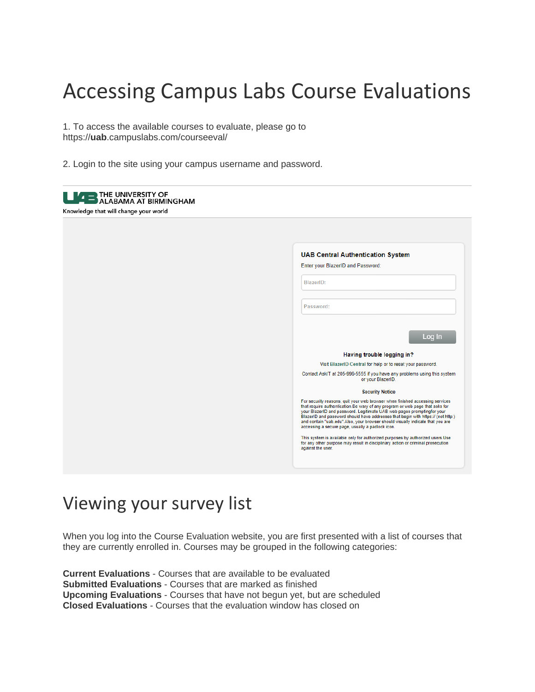## Accessing Campus Labs Course Evaluations

1. To access the available courses to evaluate, please go to https://**uab**.campuslabs.com/courseeval/

2. Login to the site using your campus username and password.

| <b>LIZED THE UNIVERSITY OF ALABAMA AT BIRMINGHAM</b><br>Knowledge that will change your world |                                                                                                                                                                                                                                                                                                                                                                                                                                                                   |
|-----------------------------------------------------------------------------------------------|-------------------------------------------------------------------------------------------------------------------------------------------------------------------------------------------------------------------------------------------------------------------------------------------------------------------------------------------------------------------------------------------------------------------------------------------------------------------|
|                                                                                               | <b>UAB Central Authentication System</b><br>Enter your BlazerID and Password:<br>BlazerID:<br>Password:                                                                                                                                                                                                                                                                                                                                                           |
|                                                                                               | Log In<br>Having trouble logging in?                                                                                                                                                                                                                                                                                                                                                                                                                              |
|                                                                                               | Visit BlazerID Central for help or to reset your password.                                                                                                                                                                                                                                                                                                                                                                                                        |
|                                                                                               | Contact AskIT at 205-996-5555 if you have any problems using this system<br>or your BlazerID.                                                                                                                                                                                                                                                                                                                                                                     |
|                                                                                               | <b>Security Notice</b>                                                                                                                                                                                                                                                                                                                                                                                                                                            |
|                                                                                               | For security reasons, quit your web browser when finished accessing services<br>that require authentication. Be wary of any program or web page that asks for<br>your BlazerID and password. Legitimate UAB web pages promptingfor your<br>BlazerID and password should have addresses that begin with https:// (not http:)<br>and contain "uab.edu".Also, your browser should visually indicate that you are<br>accessing a secure page, usually a padlock icon. |
|                                                                                               | This system is available only for authorized purposes by authorized users. Use<br>for any other purpose may result in disciplinary action or criminal prosecution<br>against the user.                                                                                                                                                                                                                                                                            |

## Viewing your survey list

When you log into the Course Evaluation website, you are first presented with a list of courses that they are currently enrolled in. Courses may be grouped in the following categories:

**Current Evaluations** - Courses that are available to be evaluated **Submitted Evaluations** - Courses that are marked as finished **Upcoming Evaluations** - Courses that have not begun yet, but are scheduled **Closed Evaluations** - Courses that the evaluation window has closed on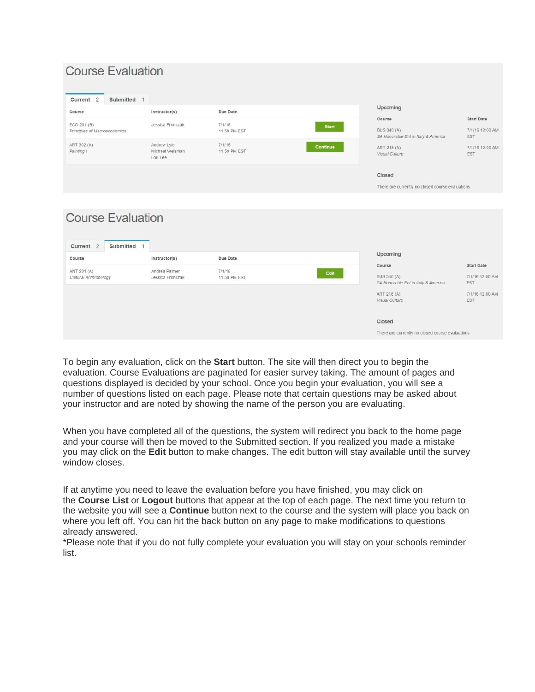| <b>Course Evaluation</b>                                        |                                            |                        |                 |                                                    |                               |
|-----------------------------------------------------------------|--------------------------------------------|------------------------|-----------------|----------------------------------------------------|-------------------------------|
| Current <sub>2</sub><br>Submitted 1                             |                                            |                        |                 | Upcoming                                           |                               |
| Course                                                          | Instructor(s)                              | Due Date               |                 | Course                                             | <b>Start Date</b>             |
| ECO 201 (B)<br>Principles of Macroeconomics                     | Jessica Fronczak                           | 7/1/16<br>11:59 PM EST | <b>Start</b>    | BUS 340 (A)<br>SA Honorable Ent in Italy & America | 7/1/16 12:00 AM<br><b>EST</b> |
| ART 302 (A)<br>Painting I                                       | Andrew Lyle<br>Michael Weisman<br>Lori Lee | 7/1/16<br>11:59 PM EST | <b>Continue</b> | ART 218 (A)<br>Visual Culture                      | 7/1/16 12:00 AM<br><b>EST</b> |
|                                                                 |                                            |                        |                 | Closed                                             |                               |
|                                                                 |                                            |                        |                 | There are currently no closed course evaluations   |                               |
| <b>Course Evaluation</b><br>Submitted 1<br>Current <sub>2</sub> |                                            |                        |                 |                                                    |                               |
| Course                                                          | Instructor(s)                              | Due Date               |                 | Upcoming                                           |                               |
|                                                                 |                                            |                        |                 | Course                                             | <b>Start Date</b>             |
| ANT 201 (A)<br>Cultural Anthropology                            | Andrea Palmer<br>Jessica Fronczak          | 7/1/16<br>11:59 PM EST | Edit            | BUS 340 (A)<br>SA Honorable Ent in Italy & America | 7/1/16 12:00 AM<br>EST        |
|                                                                 |                                            |                        |                 | ART 218 (A)<br>Visual Culture                      | 7/1/16 12:00 AM<br><b>EST</b> |
|                                                                 |                                            |                        |                 | $m_1, \ldots, n_n$                                 |                               |

There are currently no closed course evaluations

To begin any evaluation, click on the **Start** button. The site will then direct you to begin the evaluation. Course Evaluations are paginated for easier survey taking. The amount of pages and questions displayed is decided by your school. Once you begin your evaluation, you will see a number of questions listed on each page. Please note that certain questions may be asked about your instructor and are noted by showing the name of the person you are evaluating.

When you have completed all of the questions, the system will redirect you back to the home page and your course will then be moved to the Submitted section. If you realized you made a mistake you may click on the **Edit** button to make changes. The edit button will stay available until the survey window closes.

If at anytime you need to leave the evaluation before you have finished, you may click on the **Course List** or **Logout** buttons that appear at the top of each page. The next time you return to the website you will see a **Continue** button next to the course and the system will place you back on where you left off. You can hit the back button on any page to make modifications to questions already answered.

\*Please note that if you do not fully complete your evaluation you will stay on your schools reminder list.